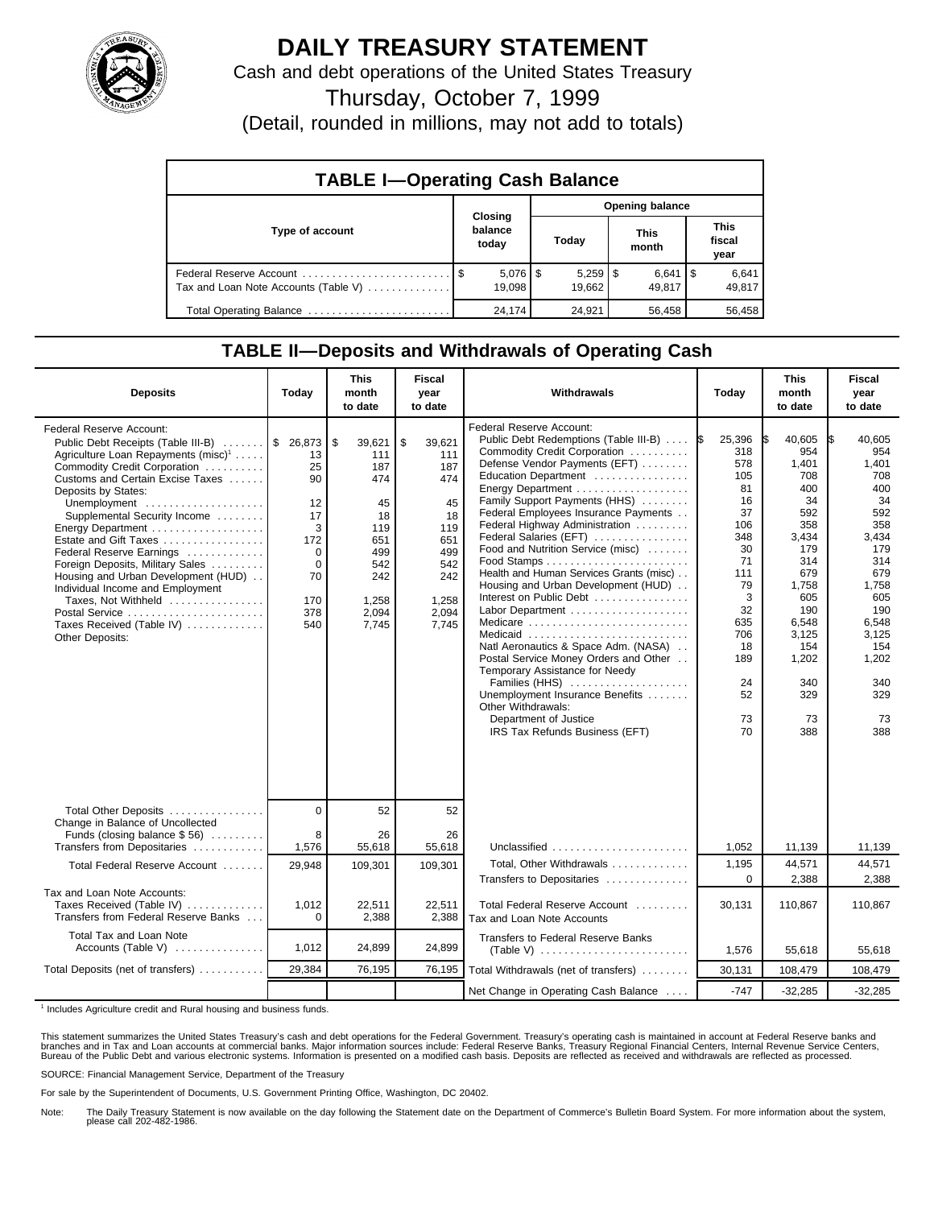

## **DAILY TREASURY STATEMENT**

Cash and debt operations of the United States Treasury

Thursday, October 7, 1999

(Detail, rounded in millions, may not add to totals)

| <b>TABLE I-Operating Cash Balance</b> |         |                        |                        |        |  |                      |  |                               |  |
|---------------------------------------|---------|------------------------|------------------------|--------|--|----------------------|--|-------------------------------|--|
|                                       | Closing |                        | <b>Opening balance</b> |        |  |                      |  |                               |  |
| Type of account                       |         | balance<br>today       |                        | Today  |  | <b>This</b><br>month |  | <b>This</b><br>fiscal<br>year |  |
| Tax and Loan Note Accounts (Table V)  |         | $5,076$   \$<br>19.098 |                        | 19.662 |  | $6,641$ S<br>49.817  |  | 6,641<br>49,817               |  |
| Total Operating Balance               |         | 24,174                 |                        | 24,921 |  | 56,458               |  | 56,458                        |  |

## **TABLE II—Deposits and Withdrawals of Operating Cash**

| <b>Deposits</b>                                                                                                                                                                                                                                                                                                                                                                                                                                                                                                                                              | Today                                                                                        | <b>This</b><br>month<br>to date                                                                       | <b>Fiscal</b><br>year<br>to date                                                                            | Withdrawals                                                                                                                                                                                                                                                                                                                                                                                                                                                                                                                                                                                                                                                                                                                                            | Today                                                                                                                                                     | <b>This</b><br>month<br>to date                                                                                                                                            | <b>Fiscal</b><br>year<br>to date                                                                                                                                                  |
|--------------------------------------------------------------------------------------------------------------------------------------------------------------------------------------------------------------------------------------------------------------------------------------------------------------------------------------------------------------------------------------------------------------------------------------------------------------------------------------------------------------------------------------------------------------|----------------------------------------------------------------------------------------------|-------------------------------------------------------------------------------------------------------|-------------------------------------------------------------------------------------------------------------|--------------------------------------------------------------------------------------------------------------------------------------------------------------------------------------------------------------------------------------------------------------------------------------------------------------------------------------------------------------------------------------------------------------------------------------------------------------------------------------------------------------------------------------------------------------------------------------------------------------------------------------------------------------------------------------------------------------------------------------------------------|-----------------------------------------------------------------------------------------------------------------------------------------------------------|----------------------------------------------------------------------------------------------------------------------------------------------------------------------------|-----------------------------------------------------------------------------------------------------------------------------------------------------------------------------------|
| Federal Reserve Account:<br>Public Debt Receipts (Table III-B)  \$ 26,873 \$<br>Agriculture Loan Repayments (misc) <sup>1</sup><br>Commodity Credit Corporation<br>Customs and Certain Excise Taxes<br>Deposits by States:<br>Unemployment<br>Supplemental Security Income<br>Energy Department<br>Estate and Gift Taxes<br>Federal Reserve Earnings<br>Foreign Deposits, Military Sales<br>Housing and Urban Development (HUD)<br>Individual Income and Employment<br>Taxes, Not Withheld<br>Postal Service<br>Taxes Received (Table IV)<br>Other Deposits: | 13<br>25<br>90<br>12<br>17<br>3<br>172<br>$\Omega$<br>$\mathbf 0$<br>70<br>170<br>378<br>540 | 39,621<br>111<br>187<br>474<br>45<br>18<br>119<br>651<br>499<br>542<br>242<br>1,258<br>2,094<br>7.745 | \$<br>39,621<br>111<br>187<br>474<br>45<br>18<br>119<br>651<br>499<br>542<br>242<br>1.258<br>2.094<br>7.745 | Federal Reserve Account:<br>Public Debt Redemptions (Table III-B)<br>Commodity Credit Corporation<br>Defense Vendor Payments (EFT)<br>Education Department<br>Family Support Payments (HHS)<br>Federal Employees Insurance Payments<br>Federal Highway Administration<br>Federal Salaries (EFT)<br>Food and Nutrition Service (misc)<br>Health and Human Services Grants (misc)<br>Housing and Urban Development (HUD)<br>Interest on Public Debt<br>Labor Department<br>Medicare<br>Medicaid<br>Natl Aeronautics & Space Adm. (NASA)<br>Postal Service Money Orders and Other<br>Temporary Assistance for Needy<br>Families (HHS)<br>Unemployment Insurance Benefits<br>Other Withdrawals:<br>Department of Justice<br>IRS Tax Refunds Business (EFT) | 25,396<br>1\$<br>318<br>578<br>105<br>81<br>16<br>37<br>106<br>348<br>30<br>71<br>111<br>79<br>3<br>32<br>635<br>706<br>18<br>189<br>24<br>52<br>73<br>70 | 40,605<br>954<br>1,401<br>708<br>400<br>34<br>592<br>358<br>3,434<br>179<br>314<br>679<br>1,758<br>605<br>190<br>6,548<br>3,125<br>154<br>1,202<br>340<br>329<br>73<br>388 | 40.605<br>I\$<br>954<br>1,401<br>708<br>400<br>34<br>592<br>358<br>3,434<br>179<br>314<br>679<br>1,758<br>605<br>190<br>6,548<br>3,125<br>154<br>1,202<br>340<br>329<br>73<br>388 |
| Total Other Deposits                                                                                                                                                                                                                                                                                                                                                                                                                                                                                                                                         | $\mathbf 0$                                                                                  | 52                                                                                                    | 52                                                                                                          |                                                                                                                                                                                                                                                                                                                                                                                                                                                                                                                                                                                                                                                                                                                                                        |                                                                                                                                                           |                                                                                                                                                                            |                                                                                                                                                                                   |
| Change in Balance of Uncollected<br>Funds (closing balance $$56$ )<br>Transfers from Depositaries                                                                                                                                                                                                                                                                                                                                                                                                                                                            | 8<br>1,576                                                                                   | 26<br>55,618                                                                                          | 26<br>55,618                                                                                                | Unclassified                                                                                                                                                                                                                                                                                                                                                                                                                                                                                                                                                                                                                                                                                                                                           | 1,052                                                                                                                                                     | 11,139                                                                                                                                                                     | 11,139                                                                                                                                                                            |
| Total Federal Reserve Account                                                                                                                                                                                                                                                                                                                                                                                                                                                                                                                                | 29,948                                                                                       | 109,301                                                                                               | 109,301                                                                                                     | Total, Other Withdrawals<br>Transfers to Depositaries                                                                                                                                                                                                                                                                                                                                                                                                                                                                                                                                                                                                                                                                                                  | 1,195<br>$\Omega$                                                                                                                                         | 44,571<br>2,388                                                                                                                                                            | 44,571<br>2,388                                                                                                                                                                   |
| Tax and Loan Note Accounts:<br>Taxes Received (Table IV)<br>Transfers from Federal Reserve Banks                                                                                                                                                                                                                                                                                                                                                                                                                                                             | 1,012<br>$\Omega$                                                                            | 22,511<br>2,388                                                                                       | 22,511<br>2,388                                                                                             | Total Federal Reserve Account<br>Tax and Loan Note Accounts                                                                                                                                                                                                                                                                                                                                                                                                                                                                                                                                                                                                                                                                                            | 30,131                                                                                                                                                    | 110,867                                                                                                                                                                    | 110,867                                                                                                                                                                           |
| Total Tax and Loan Note<br>Accounts (Table V) $\dots\dots\dots\dots$                                                                                                                                                                                                                                                                                                                                                                                                                                                                                         | 1,012                                                                                        | 24,899                                                                                                | 24,899                                                                                                      | <b>Transfers to Federal Reserve Banks</b>                                                                                                                                                                                                                                                                                                                                                                                                                                                                                                                                                                                                                                                                                                              | 1,576                                                                                                                                                     | 55.618                                                                                                                                                                     | 55.618                                                                                                                                                                            |
| Total Deposits (net of transfers)                                                                                                                                                                                                                                                                                                                                                                                                                                                                                                                            | 29,384                                                                                       | 76,195                                                                                                | 76,195                                                                                                      | Total Withdrawals (net of transfers)                                                                                                                                                                                                                                                                                                                                                                                                                                                                                                                                                                                                                                                                                                                   | 30,131                                                                                                                                                    | 108,479                                                                                                                                                                    | 108,479                                                                                                                                                                           |
|                                                                                                                                                                                                                                                                                                                                                                                                                                                                                                                                                              |                                                                                              |                                                                                                       |                                                                                                             | Net Change in Operating Cash Balance                                                                                                                                                                                                                                                                                                                                                                                                                                                                                                                                                                                                                                                                                                                   | $-747$                                                                                                                                                    | $-32,285$                                                                                                                                                                  | $-32,285$                                                                                                                                                                         |

<sup>1</sup> Includes Agriculture credit and Rural housing and business funds.

This statement summarizes the United States Treasury's cash and debt operations for the Federal Government. Treasury's operating cash is maintained in account at Federal Reserve banks and<br>branches and in Tax and Loan accou

SOURCE: Financial Management Service, Department of the Treasury

For sale by the Superintendent of Documents, U.S. Government Printing Office, Washington, DC 20402.

Note: The Daily Treasury Statement is now available on the day following the Statement date on the Department of Commerce's Bulletin Board System. For more information about the system, please call 202-482-1986.